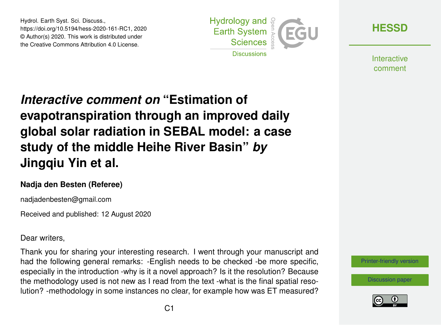Hydrol. Earth Syst. Sci. Discuss., https://doi.org/10.5194/hess-2020-161-RC1, 2020 © Author(s) 2020. This work is distributed under the Creative Commons Attribution 4.0 License.



**[HESSD](https://hess.copernicus.org/preprints/)**

**Interactive** comment

## *Interactive comment on* **"Estimation of evapotranspiration through an improved daily global solar radiation in SEBAL model: a case study of the middle Heihe River Basin"** *by* **Jingqiu Yin et al.**

## **Nadja den Besten (Referee)**

nadjadenbesten@gmail.com

Received and published: 12 August 2020

## Dear writers,

Thank you for sharing your interesting research. I went through your manuscript and had the following general remarks: -English needs to be checked -be more specific, especially in the introduction -why is it a novel approach? Is it the resolution? Because the methodology used is not new as I read from the text -what is the final spatial resolution? -methodology in some instances no clear, for example how was ET measured?

[Printer-friendly version](https://hess.copernicus.org/preprints/hess-2020-161/hess-2020-161-RC1-print.pdf)

[Discussion paper](https://hess.copernicus.org/preprints/hess-2020-161)